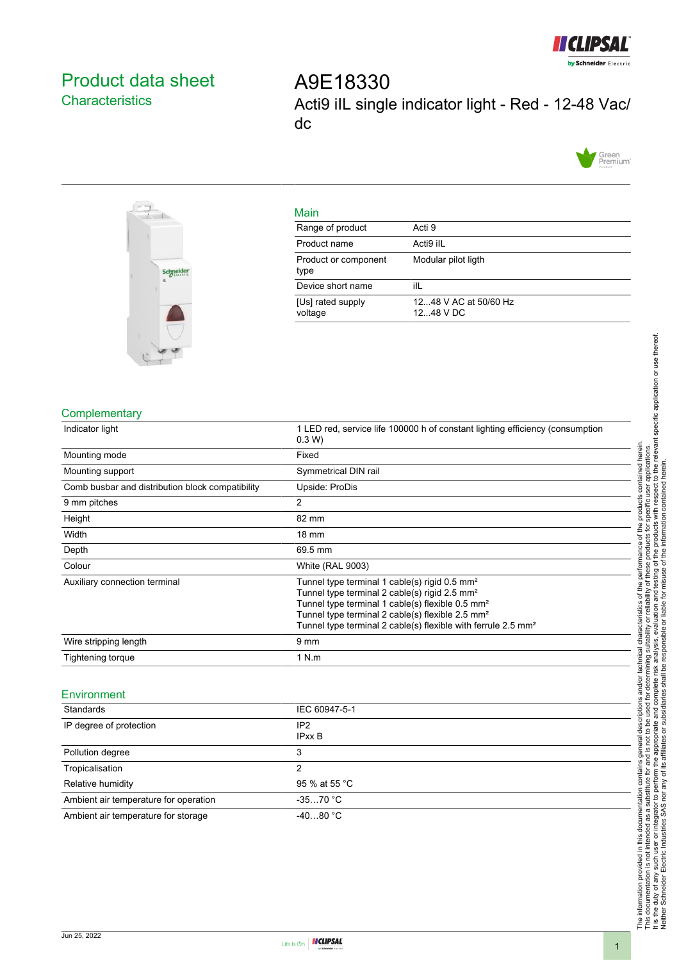

# <span id="page-0-0"></span>Product data sheet **Characteristics**

A9E18330 Acti9 iIL single indicator light - Red - 12-48 Vac/ dc





Tropicalisation 2

Relative humidity 85 % at 55 °C Ambient air temperature for operation -35...70 °C Ambient air temperature for storage -40...80 °C

| Main                         |                                    |
|------------------------------|------------------------------------|
| Range of product             | Acti 9                             |
| Product name                 | Acti9 ilL                          |
| Product or component<br>type | Modular pilot ligth                |
| Device short name            | ilL                                |
| [Us] rated supply<br>voltage | 1248 V AC at 50/60 Hz<br>1248 V DC |

### **Complementary**

| Indicator light                                  | 1 LED red, service life 100000 h of constant lighting efficiency (consumption<br>0.3 W                                                                                                                                                                                                                                              |
|--------------------------------------------------|-------------------------------------------------------------------------------------------------------------------------------------------------------------------------------------------------------------------------------------------------------------------------------------------------------------------------------------|
| Mounting mode                                    | Fixed                                                                                                                                                                                                                                                                                                                               |
| Mounting support                                 | Symmetrical DIN rail                                                                                                                                                                                                                                                                                                                |
| Comb busbar and distribution block compatibility | Upside: ProDis                                                                                                                                                                                                                                                                                                                      |
| 9 mm pitches                                     | 2                                                                                                                                                                                                                                                                                                                                   |
| Height                                           | 82 mm                                                                                                                                                                                                                                                                                                                               |
| Width                                            | 18 mm                                                                                                                                                                                                                                                                                                                               |
| Depth                                            | 69.5 mm                                                                                                                                                                                                                                                                                                                             |
| Colour                                           | <b>White (RAL 9003)</b>                                                                                                                                                                                                                                                                                                             |
| Auxiliary connection terminal                    | Tunnel type terminal 1 cable(s) rigid 0.5 mm <sup>2</sup><br>Tunnel type terminal 2 cable(s) rigid 2.5 mm <sup>2</sup><br>Tunnel type terminal 1 cable(s) flexible 0.5 mm <sup>2</sup><br>Tunnel type terminal 2 cable(s) flexible 2.5 mm <sup>2</sup><br>Tunnel type terminal 2 cable(s) flexible with ferrule 2.5 mm <sup>2</sup> |
| Wire stripping length                            | 9 <sub>mm</sub>                                                                                                                                                                                                                                                                                                                     |
| <b>Tightening torque</b>                         | 1 N.m                                                                                                                                                                                                                                                                                                                               |
| Environment                                      |                                                                                                                                                                                                                                                                                                                                     |
| Standards                                        | IEC 60947-5-1                                                                                                                                                                                                                                                                                                                       |
| IP degree of protection                          | IP <sub>2</sub><br><b>IPxx B</b>                                                                                                                                                                                                                                                                                                    |
| Pollution degree                                 | 3                                                                                                                                                                                                                                                                                                                                   |

The information provided in this documentation contains general descriptions and/or technical characteristics of the performance of the products contained herein.<br>This documentation is not intended as a substitute for and It is the duty of any such user or integrator to perform the appropriate and complete risk analysis, evaluation and testing of the products with respect to the relevant specific application or use thereof. The information provided in this documentation contains general descriptions and/or technical characteristics of the performance of the products contained herein. This documentation is not intended as a substitute for and is not to be used for determining suitability or reliability of these products for specific user applications. Neither Schneider Electric Industries SAS nor any of its affiliates or subsidiaries shall be responsible or liable for misuse of the information contained herein.